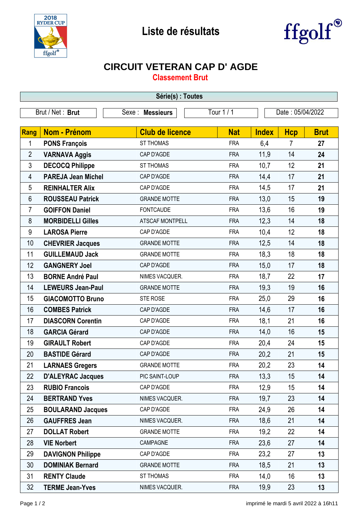



## **CIRCUIT VETERAN CAP D' AGDE**

**Classement Brut**

| Série(s) : Toutes |                           |                        |            |              |                  |             |  |  |  |  |
|-------------------|---------------------------|------------------------|------------|--------------|------------------|-------------|--|--|--|--|
| Brut / Net: Brut  |                           | Sexe : Messieurs       | Tour 1 / 1 |              | Date: 05/04/2022 |             |  |  |  |  |
|                   |                           |                        |            |              |                  |             |  |  |  |  |
| Rang              | Nom - Prénom              | <b>Club de licence</b> | <b>Nat</b> | <b>Index</b> | <b>Hcp</b>       | <b>Brut</b> |  |  |  |  |
| 1                 | <b>PONS François</b>      | <b>ST THOMAS</b>       | <b>FRA</b> | 6,4          | $\overline{7}$   | 27          |  |  |  |  |
| $\overline{2}$    | <b>VARNAVA Aggis</b>      | CAP D'AGDE             | <b>FRA</b> | 11,9         | 14               | 24          |  |  |  |  |
| 3                 | <b>DECOCQ Philippe</b>    | <b>ST THOMAS</b>       | <b>FRA</b> | 10,7         | 12               | 21          |  |  |  |  |
| 4                 | <b>PAREJA Jean Michel</b> | CAP D'AGDE             | <b>FRA</b> | 14,4         | 17               | 21          |  |  |  |  |
| 5                 | <b>REINHALTER Alix</b>    | CAP D'AGDE             | <b>FRA</b> | 14,5         | 17               | 21          |  |  |  |  |
| 6                 | <b>ROUSSEAU Patrick</b>   | <b>GRANDE MOTTE</b>    | <b>FRA</b> | 13,0         | 15               | 19          |  |  |  |  |
| $\overline{7}$    | <b>GOIFFON Daniel</b>     | <b>FONTCAUDE</b>       | <b>FRA</b> | 13,6         | 16               | 19          |  |  |  |  |
| 8                 | <b>MORBIDELLI Gilles</b>  | <b>ATSCAF MONTPELL</b> | <b>FRA</b> | 12,3         | 14               | 18          |  |  |  |  |
| 9                 | <b>LAROSA Pierre</b>      | CAP D'AGDE             | <b>FRA</b> | 10,4         | 12               | 18          |  |  |  |  |
| 10                | <b>CHEVRIER Jacques</b>   | <b>GRANDE MOTTE</b>    | <b>FRA</b> | 12,5         | 14               | 18          |  |  |  |  |
| 11                | <b>GUILLEMAUD Jack</b>    | <b>GRANDE MOTTE</b>    | <b>FRA</b> | 18,3         | 18               | 18          |  |  |  |  |
| 12                | <b>GANGNERY Joel</b>      | CAP D'AGDE             | <b>FRA</b> | 15,0         | 17               | 18          |  |  |  |  |
| 13                | <b>BORNE André Paul</b>   | NIMES VACQUER.         | <b>FRA</b> | 18,7         | 22               | 17          |  |  |  |  |
| 14                | <b>LEWEURS Jean-Paul</b>  | <b>GRANDE MOTTE</b>    | <b>FRA</b> | 19,3         | 19               | 16          |  |  |  |  |
| 15                | <b>GIACOMOTTO Bruno</b>   | STE ROSE               | <b>FRA</b> | 25,0         | 29               | 16          |  |  |  |  |
| 16                | <b>COMBES Patrick</b>     | CAP D'AGDE             | <b>FRA</b> | 14,6         | 17               | 16          |  |  |  |  |
| 17                | <b>DIASCORN Corentin</b>  | CAP D'AGDE             | <b>FRA</b> | 18,1         | 21               | 16          |  |  |  |  |
| 18                | <b>GARCIA Gérard</b>      | CAP D'AGDE             | <b>FRA</b> | 14,0         | 16               | 15          |  |  |  |  |
| 19                | <b>GIRAULT Robert</b>     | CAP D'AGDE             | <b>FRA</b> | 20,4         | 24               | 15          |  |  |  |  |
| 20                | <b>BASTIDE Gérard</b>     | CAP D'AGDE             | <b>FRA</b> | 20,2         | 21               | 15          |  |  |  |  |
| 21                | <b>LARNAES Gregers</b>    | <b>GRANDE MOTTE</b>    | <b>FRA</b> | 20,2         | 23               | 14          |  |  |  |  |
| 22                | <b>D'ALEYRAC Jacques</b>  | PIC SAINT-LOUP         | <b>FRA</b> | 13,3         | 15               | 14          |  |  |  |  |
| 23                | <b>RUBIO Francois</b>     | CAP D'AGDE             | <b>FRA</b> | 12,9         | 15               | 14          |  |  |  |  |
| 24                | <b>BERTRAND Yves</b>      | NIMES VACQUER.         | <b>FRA</b> | 19,7         | 23               | 14          |  |  |  |  |
| 25                | <b>BOULARAND Jacques</b>  | CAP D'AGDE             | <b>FRA</b> | 24,9         | 26               | 14          |  |  |  |  |
| 26                | <b>GAUFFRES Jean</b>      | NIMES VACQUER.         | <b>FRA</b> | 18,6         | 21               | 14          |  |  |  |  |
| 27                | <b>DOLLAT Robert</b>      | <b>GRANDE MOTTE</b>    | <b>FRA</b> | 19,2         | 22               | 14          |  |  |  |  |
| 28                | <b>VIE Norbert</b>        | CAMPAGNE               | <b>FRA</b> | 23,6         | 27               | 14          |  |  |  |  |
| 29                | <b>DAVIGNON Philippe</b>  | CAP D'AGDE             | <b>FRA</b> | 23,2         | 27               | 13          |  |  |  |  |
| 30                | <b>DOMINIAK Bernard</b>   | <b>GRANDE MOTTE</b>    | <b>FRA</b> | 18,5         | 21               | 13          |  |  |  |  |
| 31                | <b>RENTY Claude</b>       | ST THOMAS              | <b>FRA</b> | 14,0         | 16               | 13          |  |  |  |  |
| 32                | <b>TERME Jean-Yves</b>    | NIMES VACQUER.         | <b>FRA</b> | 19,9         | 23               | 13          |  |  |  |  |